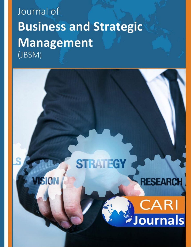# Journal of **Business and Strategic Management** (JBSM)

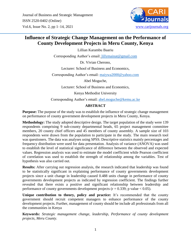

# **Influence of Strategic Change Management on the Performance of County Development Projects in Meru County, Kenya**

Lillian Karambu Baariu

Corresponding Author's email: [lillymainat@gmail.com](mailto:lillymainat@gmail.com)

Dr. Vivian Cherono,

Lecturer: School of Business and Economics,

Corresponding Author's email: [maiywa2000@yahoo.com](mailto:maiywa2000@yahoo.com)

Abel Moguche,

Lecturer: School of Business and Economics,

Kenya Methodist University

Corresponding Author's email: [abel.moguche@kemu.ac.ke](mailto:abel.moguche@kemu.ac.ke)

#### **ABSTRACT**

**Purpose:** The purpose of the study was to establish the influence of strategic change management on performance of county government development projects in Meru County, Kenya.

**Methodology:** The study adopted descriptive design. The target population of the study were 139 respondents comprising 9 sub-county departmental heads, 65 project management committee members, 20 county chief officers and 45 members of county assembly. A sample size of 103 respondents were drawn from the population to participate in the study. The main research tool was questioners. The data was analyses using SPSS. Descriptive statistics mainly percentages and frequency distribution were used for data presentation. Analysis of variance (ANOVA) was used to establish the level of statistical significance of difference between the observed and expected values. Regression analysis was used to estimate the model coefficient while Pearson coefficient of correlation was used to establish the strength of relationship among the variables. Test of hypothesis was also carried out.

**Results:** After carrying out regression analysis, the research indicated that leadership was found to be statistically significant in explaining performance of county governments development projects since a unit change in leadership caused 0.488 units change in performance of county governments development projects as indicated by regression coefficient. The findings further revealed that there exists a positive and significant relationship between leadership and performance of county governments development projects ( $r = 0.339$ ; p value < 0.05).

**Unique contribution to theory, policy and practice:** It's recommended that the county government should recruit competent managers to enhance performance of the county development projects. Further, management of county should be include all professionals from all the communities in Kenya

**Keywords:** *Strategic management change, leadership, Performance of county development projects, Meru County.*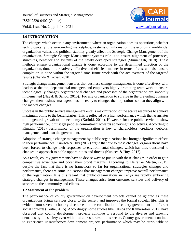

#### **1.0 INTRODUCTION**

The changes which occur in any environment, where an organization does its operations, whether technologically, the surrounding marketplace, systems of information, the economy worldwide, organization values and political stability greatly affect the Strategic Change Management of the organization. Strategic Change Management systems role is to ensure alignment of processes, structures, behavior and systems of the newly developed strategies (Shimengah, 2018). These methods ensure organizational change is done according to the determined direction of the organization, done in a relatively effective and efficient manner in terms of cost and also ensure completion is done within the targeted time frame work with the achievement of the targeted results (Chanda & Goyal, 2020).

Strategic change management ensures that business change management is done effectively with leaders at the top, departmental managers and employers highly promoting team work to ensure technologically changes, organizational changes and processes of the organization are smoothly implemented (Nayak & Sahoo, 2015). For any organization to survive in the prevailing business changes, then business managers must be ready to changes their operations so that they align with the market changes.

Success in the public service management entails maximization of the scarce resources to achieve maximum utility to the beneficiaries. This is reflected by a high performance which then translates to the general growth of the economy (Kariuki, 2014). However, for the public service to show high performance, it must get peoples commitment towards achieving its objectives. According to Kimathi (2016) performance of the organization is key to shareholders, creditors, debtors, management and also the government.

Adoption of strategic change management by public organizations has brought significant effects to their performances. Kunisch & Huy (2017) argue that due to these changes, organizations have been forced to change their responses to environmental changes, which has thus translated to changes in approach to noble opportunities and threats (Kunisch & Huy, 2017).

As a result, county governments have to devise ways to put up with these changes in order to gain competitive advantage and boost their profit margins. According to Helfat & Martin, (2015) despite the fact that there is no framework so far for organizational strategies changes and performance, there are some indications that management changes improve overall performance of the organization. It is this regard that public organizations in Kenya are rapidly embracing strategic changes in management. These changes arise from customer services and delivery of services to the community and clients.

#### **1.2 Statement of the problem**

The performance of county government on development projects cannot be ignored as these organizations brings services closer to the society and improves the formal societal life. This is evident from several scholarly discourses on the contribution of county government in different social contexts (Koitie, 2015). Accordingly, some studies like Kitsios and Kamariotou (2017) have observed that county development projects continue to respond to the diverse and growing demands by the society even with limited resources in this sector. County governments continue to experience unsatisfactory development projects performance which may be attributable to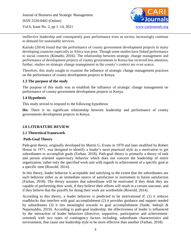

ineffective leadership and consequently poor performance even as society increasingly continue to demand for sustainable services.

Kariuki (2014) found that the performance of county government development projects in many developing countries especially in Africa was poor. Though some studies have linked performance to social contexts (Kimathi, 2016). The relationship between strategic change management and performance of development projects of county governments in Kenya has received less attention; further, studies on strategic change management in the county's context are even scarce.

Therefore, this study sought to examine the influence of strategic change management practices on the performance of county development projects in Kenya.

#### **1.3 The purpose of the study**

The purpose of this study was to establish the influence of strategic change management on performance of county government development projects in Kenya.

### **1.4 Hypothesis**

This study strived to respond to the following hypothesis:

**Ho:** There is no significant relationship between leadership and performance of county governments development projects in Kenya.

#### **2.0 LITERATURE REVIEW**

#### **2.1 Theoretical framework**

#### **Path-Goal Theory**

Path-goal theory, originally developed by Martin G. Evans in 1970 and later modified by Robert House in 1971, was designed to identify a leader's most practiced style as a motivation to get subordinates to accomplish goals (Farhan, 2018). Path-goal theory is primarily a theory of task and person oriented supervisory behavior which does not concern the leadership of entire organization, rather only the specified work unit with regards to achievement of a specific goal at a specific time (Rowold, 2014).

In this theory, leader behavior is acceptable and satisfying to the extent that the subordinates see such behavior either as an immediate source of satisfaction or instrument to future satisfaction (Farhan, 2018). The theory assumes that subordinate will be motivated if they think they are capable of performing their work, if they believe their efforts will result in a certain outcome, and if they believe that the payoffs for doing their work are worthwhile (Rowold, 2014).

According to this theory, a leader behavior is predicted to be motivational if: (1) it reduces roadblocks that interfere with goal accomplishment (2) it provides guidance and support needed by subordinates (3) it ties meaningful rewards to goal accomplishment (Saide, Indrajit & Najamuddin, 2019). According to path-goal leadership, the effectiveness of leader is influenced by the interaction of leader behaviors (directive, supportive, participative and achievementoriented) with two types of contingency factors including, subordinate characteristics and environment, that cause one leadership style to be more effective than another (Farhan, 2018).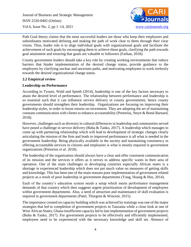

Path Goal theory claims that the most successful leaders are those who keep their employees and subordinates motivated defining and making the path of work clear to them through their clear vision. Thus, leader role is to align individual goals with organizational goals and facilitate the achievement of such goals by encouraging them to achieve these goals, clarifying the path towards goal attainment and ensuring that goals are valuable to followers (Farhan, 2018).

County government leaders should take a key role by creating working environments that reduce barriers that hinder implementation of the desired change status, provide guidance to the employees by clarifying unclear and uncertain paths, and motivating employees to work tirelessly towards the desired organizational change status.

#### **2.2 Empirical review**

#### **Leadership on Performance**

According to Tyssen, Wald and Spieth (2014), leadership is one of the key factors necessary to attain the desired level of performance. The relationship between performance and leadership is so essential such that it can influence service delivery in county governments; hence county governments should strengthen their leadership. Organizations are focusing on improving their leadership styles, in order to boost returns on investment. They are adopting the art of maintaining constant communication with clients to enhance accountability (Pretorius, Steyn & Bond-Barnard, 2018).

However, challenges such as diversity in cultural differences in leadership and communities served have posed a challenge in service delivery (Buba & Tanko, 2017). A leadership which manages to come up with partnering relationship which will lead to development of strategic changes clearly articulating the mission of the firm and leads to improved performance is all what is needed in the government leadership. Being physically available in the society and maintaining consistency in offering accountable services to citizens and employees is what is mostly required in government organizations (Pretorius *et al.* 2018).

The leadership of the organization should always have a clear and offer consistent communication of its mission and the services it offers as it strives to address specific wants in their area of operation. One of the main challenges in developing countries especially African states is a shortage in experienced leadership which does not put much value on measures of getting skills and knowledge. This has been one of the main reasons poor implementation of government related projects as a result of poor leadership in government departments (Yang, Huang & Hsu, 2014).

Each of the country's education system needs a setup which meets performance management demands of that country which then suggests urgent prioritization of development of employees within government departments. Also, a need of attraction and maintenance of skill evaluation is required in government departments (Patel, Thorgren & Wincent, 2015).

The importance created on capacity building which was achieved by trainings was one of the major strategies that led to completion of government projects in Tanzania while a close look at one of West African States, Ghana insufficient capacity led to late implementation of government projects (Buba & Tanko, 2017). For government projects to be effectively and efficiently implemented, employees need to be experienced with the necessary knowledge and skill set. Absence of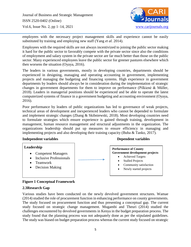

employees with the necessary project management skills and experience cannot be easily substituted by training and employing new staff (Yang *et al.* 2014).

Employees with the required skills are not always incentivized to joining the public sector making it hard for the public sector to favorably compete with the private sector since also the conditions of employment and salary system in the private sector are far much better than those on the public sector. Many experienced employees leave the public sector for greener pastures elsewhere which then worsens the situation (Oyaya, 2016).

The leaders in various governments, mostly in developing countries, departments should be experienced in designing, managing and operating accounting in government, implementing projects and managing the budgeting and financing systems. High experience in government departments by leaders should always be in consideration during the implementation of strategic changes in government departments for them to improve on performance (Pilkienė & Müller, 2018). Leaders in managerial positions should be experienced and be able to operate the latest computerized systems of finance in a government budgeting and accounting environment (Oyaya, 2016).

Poor performance by leaders of public organizations has led to governance of weak projects, technical areas of development and inexperienced leaders who cannot be depended to formulate and implement strategic changes (Zhang & Skibniewski, 2018). Most developing countries need to formulate strategies which ensure experience is gained through training, development in management, human resource management and structural adjustments in the organization. The organizations leadership should put up measures to ensure efficiency in managing and implementing projects and also developing their training capacity (Buba & Tanko, 2017).

#### **Independent variables** Dependent variables

#### **Leadership**

- Competent Managers
- Inclusive Professionals
- Teamwork
- Decision Making

#### **Performance of County Government development projects**

- Achieved Targets
- Stalled Projects
- Community satisfaction
- Newly started projects

#### **Figure 1 Conceptual Framework**

#### **2.3Research Gap**

Various studies have been conducted on the newly devolved government structures. Wamae (2014) studied the role of procurement function in enhancing performance on county governments. The study focused on procurement function and thus presenting a conceptual gap. The current study focused on strategic change management. Mugambi and Theuri (2014) studied the challenges encountered by devolved governments in Kenya in the budget preparation process. The study found that the planning process was not adequately done as per the stipulated guidelines. The study was biased on budget preparation process whereas the current study focused on strategic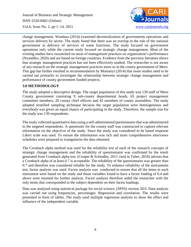

change management. Wambua (2014) examined decentralization of governments operations and services delivery by sector. The study found that there was an overlap in the role of the national government in delivery of services of some functions. The study focused on government operations only while the current study focused on strategic change management. Most of the existing studies have researched on areas of management practices on organization's performance (Nyandiko, 2020) and are based on foreign countries. Evidence from the previous literature shows that strategic management practices has not been effectively studied. The researcher is not aware of any research on the strategic management practices more so in the county government of Meru. This gap has further resulted in recommendation by Mumanyi (2014) that more studies need to be carried out primarily to investigate the relationship between strategic change management and performance of county government funded projects.

#### **3.0 METHODOLOGY**

The study adopted a descriptive design. The target population of this study was 139 staff of Meru County government consisting 9 sub-county departmental heads, 65 project management committee members, 20 county chief officers and 45 members of county assemblies. The study adopted stratified sampling technique because the target population were heterogeneous and everybody was given an equal chance of participating in the study. Therefore, the sample size for the study was 139 respondents.

The study collected quantitative data using a self-administered questionnaire that was administered to the targeted respondents. A questioner for the county staff was constructed to capture relevant information on the objective of the study. Since the study was considered to be based response Likert scale was used. To ensure the information was rich and more comprehensive interviews schedules were prepared to triangularise the data obtained.

The Cronbach alpha method was used for the reliability test of each of the research concepts of strategic change management and the reliability of questionnaire was confirmed by the result generated from Cronbach alpha test. (Cooper & Schindler, 2011 cited in Taber, 2018) advises that a Cronbach alpha of at least 0.7 is acceptable. The reliability of the questionnaire was greater than 0.7 and therefore was considered reliable for the study. To enhance reliability of the instruments test, factor analysis was used. Factor analysis was conducted to ensure that all the items in each instrument were based on the study and those variables found to have a factor loading of 0.4 and above were retained for further analysis. Factor analysis therefore aided the researcher with the only items that corresponded to the subject dependent on their factor loadings.

Data was analysed using statistical package for social science, (SPSS) version 20.0. Data analysis was carried out using frequencies, percentages. Regression and correlation. The results were presented in form of tables. The study used multiple regression analysis to show the effect and influence of the independent variable.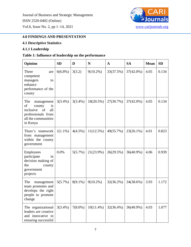

# **4.0 FINDINGS AND PRESENTATION**

# **4.1 Descriptive Statistics**

# **4.1.1 Leadership**

# **Table 1: Influence of leadership on the performance**

| Opinion                                                                                                                    | <b>SD</b>  | D          | ${\bf N}$    | A         | <b>SA</b>    | <b>Mean</b> | <b>SD</b> |
|----------------------------------------------------------------------------------------------------------------------------|------------|------------|--------------|-----------|--------------|-------------|-----------|
| There<br>are<br>competent<br>managers<br>to<br>enhance<br>performance of the<br>county                                     | $6(6.8\%)$ | 3(3.2)     | $9(10.2\%)$  | 33(37.5%) | 37(42.0%)    | 4.05        | 0.134     |
| The<br>management<br>of<br>county<br>is<br>inclusive<br>of<br>all<br>professionals from<br>all the communities<br>in Kenya | $3(3.4\%)$ | $3(3.4\%)$ | 18(20.5%)    | 27(30.7%) | $37(42.0\%)$ | 4.05        | 0.134     |
| There's teamwork<br>from management<br>within the county<br>government                                                     | $1(1.1\%)$ | $4(4.5\%)$ | 11(12.5%)    | 49(55.7%) | $23(26.1\%)$ | 4.01        | 0.823     |
| Employees<br>participate<br>in<br>decision making of<br>the<br>county<br>government<br>projects                            | 0.0%       | 5(5.7%)    | 21(23.9%)    | 26(29.5%) | 36(40.9%)    | 4.06        | 0.939     |
| The<br>management<br>team promotes and<br>develops the right<br>people to promote<br>change                                | 5(5.7%)    | $8(9.1\%)$ | $9(10.2\%)$  | 32(36.2%) | 34(38.6%)    | 3.93        | 1.172     |
| The organizational<br>leaders are creative<br>and innovative in<br>ensuring successful                                     | $3(3.4\%)$ | $7(8.0\%)$ | $10(11.4\%)$ | 32(36.4%) | 36(40.9%)    | 4.03        | 1.077     |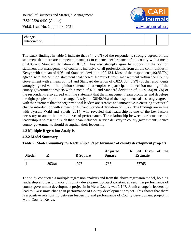

| change<br>introduction.<br>. |  |  |  |  |  |  |
|------------------------------|--|--|--|--|--|--|
|------------------------------|--|--|--|--|--|--|

The study findings in table 1 indicate that 37(42.0%) of the respondents strongly agreed on the statement that there are competent managers to enhance performance of the county with a mean of 4.05 and Standard deviation of 0.134. They also strongly agree by supporting the opinion statement that management of county is inclusive of all professionals from all the communities in Kenya with a mean of 4.05 and Standard deviation of 0.134. Most of the respondenst,49(55.7%) agreed with the opinion statement that there's teamwork from management within the County Government with a mean of 4.01 and Standard deviation of 0.823. 36(40.9%) of the respondents strongly agreed with the opinion statement that employees participate in decision making of the county government projects with a mean of 4.06 and Standard deviation of 0.939. 34(38.6%) of the respondents also agreed with the statement that the management team promotes and develops the right people to promote change. Lastly, the 36(40.9%) of the respondents also strongly agreed with the statement that the organizational leaders are creative and innovative in ensuring successful change introduction with a mean of 4.03and Standard deviation of 1.077. The findings are in line with Tyssen, Wald and Spieth (2014) who revealed that leadership is one of the key factors necessary to attain the desired level of performance. The relationship between performance and leadership is so essential such that it can influence service delivery in county governments; hence county governments should strengthen their leadership.

#### **4.2 Multiple Regression Analysis**

#### **4.2.2 Model Summary**

#### **Table 2: Model Summary for leadership and performance of county development projects**

| <b>Model</b> | R       | <b>R</b> Square | <b>Adjusted</b><br><b>Square</b> | R Std. Error of the<br><b>Estimate</b> |
|--------------|---------|-----------------|----------------------------------|----------------------------------------|
|              | .893(a) | .797            | .785                             | .57765                                 |

The study conducted a multiple regression analysis and from the above regression model, holding leadership and performance of county development project constant at zero, the performance of county government development project in in Meru County was 1.147. A unit change in leadership lead to 0.488 units change in performance of County development project. This shows that there is a positive relationship between leadership and performance of County development project in Meru County, Kenya.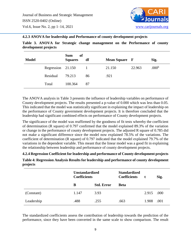

#### **4.2.3 ANOVA for leadership and Performance of county development projects**

**Table 3. ANOVA for Strategic change management on the Performance of county development projects**

| <b>Model</b> |                   | <b>Sum</b><br>of<br><b>Squares</b> | df | <b>Mean Square</b> F |        | Sig.              |
|--------------|-------------------|------------------------------------|----|----------------------|--------|-------------------|
|              | Regression 21.150 |                                    |    | 21.150               | 22.963 | .000 <sup>b</sup> |
|              | Residual          | 79.213                             | 86 | .921                 |        |                   |
|              | Total             | 100.364                            | 87 |                      |        |                   |

The ANOVA analysis in Table 3 presents the influence of leadership variables on performance of County development projects. The results presented a p-value of 0.000 which was less than 0.05. This indicated that the model was statistically significant in explaining the impact of leadership on the performance of County government development projects. It is therefore concluded that the leadership had significant combined effects on performance of County development projects.

The significance of the model was reaffirmed by the goodness of fit tests whereby the coefficient of determination (R square) of 0.797 confirmed that the model explained 89.3% of the variation or change in the performance of county development projects. The adjusted R square of 0.785 did not make a significant difference since the model now explained 78.5% of the variations. The coefficient of determination (R square) of 0.797 indicated that the model explained 79.7% of the variations in the dependent variable. This meant that the linear model was a good fit in explaining the relationship between leadership and performance of county development projects.

**4.2.4 Regression Coefficient for leadership and performance of County development projects**

**Table 4: Regression Analysis Results for leadership and performance of county development projects**

|            | <b>Unstandardized</b><br><b>Coefficients</b> |                   | <b>Standardized</b><br><b>Coefficients</b> |       | Sig. |
|------------|----------------------------------------------|-------------------|--------------------------------------------|-------|------|
|            | B                                            | <b>Std. Error</b> | <b>Beta</b>                                |       |      |
| (Constant) | 1.147                                        | 3.93              |                                            | 2.915 | .000 |
| Leadership | .488                                         | .255              | .663                                       | 1.908 | .001 |

The standardized coefficients assess the contribution of leadership towards the prediction of the performance, since they have been converted in the same scale to show comparison. The result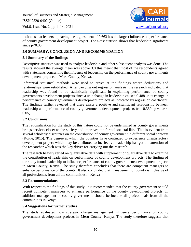

indicates that leadership having the highest beta of 0.663 has the largest influence on performance of county government development project. The t-test statistic shows that leadership significant since  $p<0.05$ .

## **5.0 SUMMARY, CONCLUSION AND RECOMMENDATION**

# **5.1 Summary of the findings**

Descriptive statistics was used to analyze leadership and other subsequent analysis was done. The results showed the average mean was above 3.0 this meant that most of the respondents agreed with statements concerning the influence of leadership on the performance of county governments development projects in Meru County, Kenya.

Inferential statistical methods were used to arrive at the findings where deductions and relationships were established. After carrying out regression analysis, the research indicated that leadership was found to be statistically significant in explaining performance of county governments development projects since a unit change in leadership caused 0.488 units change in performance of county governments development projects as indicated by regression coefficient. The findings further revealed that there exists a positive and significant relationship between leadership and performance of county governments development projects ( $r = 0.339$ ; p value  $\lt$ 0.05).

### **5.2 Conclusions**

The rationalization for the study of this nature could not be undermined as county governments brings services closer to the society and improves the formal societal life. This is evident from several scholarly discourses on the contribution of county government in different social contexts (Koitie, 2015). The degree at which the counties have continued to experience unsatisfactory development project which may be attributed to ineffective leadership has got the attention of the researcher which was the key driver for carrying out the research.

The research heavily relied on quantitative data with supplement of qualitative data to examine the contribution of leadership on performance of county development projects. The finding of the study found leadership to influence performance of county governments development projects in Meru County, Kenya. The study therefore concludes that there are competent managers to enhance performance of the county. It also concluded that management of county is inclusive of all professionals from all the communities in Kenya

#### **5.3 Recommendations**

With respect to the findings of this study, it is recommended that the county government should recruit competent managers to enhance performance of the county development projects. In addition, management of county governments should be include all professionals from all the communities in Kenya.

#### **5.4 Suggestions for further studies**

The study evaluated how strategic change management influence performance of county government development projects in Meru County, Kenya. The study therefore suggests that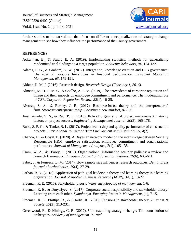

further studies to be carried out that focus on different conceptualization of strategic change management to see how they influence the performance of the County government.

#### **REFERENCES**

- Ackerman, B., & Stuart, E. A. (2019). Implementing statistical methods for generalizing randomized trial findings to a target population. *Addictive behaviors*, *94*, 124-132.
- Adams, F. G., & Graham, K. W. (2017). Integration, knowledge creation and B2B governance: The role of resource hierarchies in financial performance. *Industrial Marketing Management*, *63*, 179-191.
- Akhtar, D. M. I. (2016). Research design. *Research Design (February 1, 2016)*.
- Almeida, M. D. G. M. C., & Coelho, A. F. M. (2019). The antecedents of corporate reputation and image and their impacts on employee commitment and performance: The moderating role of CSR. *Corporate Reputation Review*, *22*(1), 10-25.
- Alvarez, S. A., & Barney, J. B. (2017). Resource‐based theory and the entrepreneurial firm. *Strategic entrepreneurship: Creating a new mindset*, 87-105.
- Anantatmula, V. S., & Rad, P. F. (2018). Role of organizational project management maturity factors on project success. *Engineering Management Journal*, *30*(3), 165-178.
- Buba, S. P. G., & Tanko, B. L. (2017). Project leadership and quality performance of construction projects. *International Journal of Built Environment and Sustainability*, *4*(2).
- Chanda, U., & Goyal, P. (2020). A Bayesian network model on the interlinkage between Socially Responsible HRM, employee satisfaction, employee commitment and organizational performance. *Journal of Management Analytics*, *7*(1), 105-138.
- Cram, W. A., & D'arcy, J. (2017). Organizational information security policies: a review and research framework. *European Journal of Information Systems*, *26*(6), 605-641.
- Faber, J., & Fonseca, L. M. (2014). How sample size influences research outcomes. *Dental press journal of orthodontics*, *19*(4), 27-29.
- Farhan, B. Y. (2018). Application of path-goal leadership theory and learning theory in a learning organization. *Journal of Applied Business Research (JABR)*, *34*(1), 13-22.
- Freeman, R. E. (2015). Stakeholder theory. *Wiley encyclopedia of management*, 1-6.
- Freeman, R. E., & Dmytriyev, S. (2017). Corporate social responsibility and stakeholder theory: Learning from each other. *Symphonya. Emerging Issues in Management*, (1), 7-15.
- Freeman, R. E., Phillips, R., & Sisodia, R. (2020). Tensions in stakeholder theory. *Business & Society*, *59*(2), 213-231.
- Greenwood, R., & Hinings, C. R. (2017). Understanding strategic change: The contribution of archetypes. *Academy of management Journal*.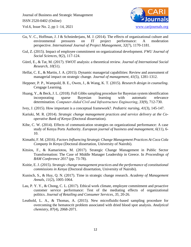

- Gu, V. C., Hoffman, J. J & Schniederjans, M. J. (2014). The effects of organizational culture and environmental pressures on IT project performance: A moderation perspective. *International Journal of Project Management*, *32*(7), 1170-1181.
- Gul, Z. (2015). Impact of employee commitment on organizational development. *FWU Journal of Social Sciences*, *9*(2), 117-124.
- Gürel, E., & Tat, M. (2017). SWOT analysis: a theoretical review. *Journal of International Social Research*, *10*(51).
- Helfat, C. E., & Martin, J. A. (2015). Dynamic managerial capabilities: Review and assessment of managerial impact on strategic change. *Journal of management*, *41*(5), 1281-1312.
- Heppner, P. P., Wampold, B. E., Owen, J., & Wang, K. T. (2015). *Research design in counseling*. Cengage Learning.
- Huang, Y., & Beck, J. L. (2018). Full Gibbs sampling procedure for Bayesian system identification incorporating sparse Bayesian learning with automatic relevance determination. *Computer‐Aided Civil and Infrastructure Engineering*, *33*(9), 712-730.
- Ivey, J. (2015). How important is a conceptual framework?. *Pediatric nursing*, *41*(3), 145-147.
- Kariuki, M. R. (2014). *Strategic change management practices and service delivery at the Cooperative Bank of Kenya* (Doctoral dissertation).
- Kibe, C. W. (2014). Effects of communication strategies on organizational performance: A case study of Kenya Ports Authority. *European journal of business and management*, *6*(11), 6- 10.
- Kimathi, F. M. (2016). *Factors Influencing Strategic Change Management Practices At Coca Cola Company In Kenya* (Doctoral dissertation, University of Nairobi).
- Kitsios, F., & Kamariotou, M. (2017). Strategic Change Management in Public Sector Transformation: The Case of Middle Manager Leadership in Greece. In *Proceedings of BAM Conference 2017* (pp. 73-78).
- Koitie, E. J. (2015). *Strategic change management practices and the performance of constitutional commissions in Kenya* (Doctoral dissertation, University of Nairobi).
- Kunisch, S., & Huy, Q. N. (2017). Time in strategic change research. *Academy of Management Annals*, *11*(2), 1005-1064.
- Lau, P. Y. Y., & Chong, C. L. (2017). Ethical work climate, employee commitment and proactive customer service performance: Test of the mediating effects of organizational politics. *Journal of Retailing and Consumer Services*, *35*, 20-26.
- Leuthold, L. A., & Thomas, A. (2015). New microfluidic-based sampling procedure for overcoming the hematocrit problem associated with dried blood spot analysis. *Analytical chemistry*, *87*(4), 2068-2071.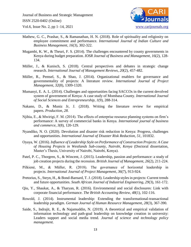

- Mathew, G. C., Prashar, S., & Ramanathan, H. N. (2018). Role of spirituality and religiosity on employee commitment and performance. *International Journal of Indian Culture and Business Management*, *16*(3), 302-322.
- Mugambi, K. W., & Theuri, F. S. (2014). The challenges encountered by county governments in Kenya during budget preparation. *IOSR Journal of Business and Management*, *16*(2), 128- 134.
- Müller, J., & Kunisch, S. (2018). Central perspectives and debates in strategic change research. *International Journal of Management Reviews*, *20*(2), 457-482.
- Müller, R., Pemsel, S., & Shao, J. (2014). Organizational enablers for governance and governmentality of projects: A literature review. *International Journal of Project Management*, *32*(8), 1309-1320.
- Mumanyi, E. A. L. (2014). Challenges and opportunities facing SACCOs in the current devolved system of government of Kenya: A case study of Mombasa County. *International Journal of Social Sciences and Entrepreneurship*, *1*(9), 288-314.
- Nakano, D., & Muniz Jr, J. (2018). Writing the literature review for empirical papers. *Production*, *28*.
- Njihia, E., & Mwirigi, F. M. (2014). The effects of enterprise resource planning systems on firm's performance: A survey of commercial banks in Kenya. *International journal of business and commerce*, *3*(8), 120-129.
- Nyandiko, N. O. (2020). Devolution and disaster risk reduction in Kenya: Progress, challenges and opportunities. *International Journal of Disaster Risk Reduction*, *51*, 101832.
- Oyaya, W. (2016). *Influence of Leadership Style on Performance of Construction Projects: A Case of Housing Projects in Westlands Sub-county, Nairobi, Kenya* (Doctoral dissertation, Master's Thesis, University of Nairobi, Nairobi, Kenya).
- Patel, P. C., Thorgren, S., & Wincent, J. (2015). Leadership, passion and performance: a study of job creation projects during the recession. *British Journal of Management*, *26*(2), 211-224.
- Pilkienė, M., & Müller, R. (2018). The governance of horizontal leadership in projects. *International Journal of Project Management*, *36*(7), 913-924.
- Pretorius, S., Steyn, H., & Bond-Barnard, T. J. (2018). Leadership styles in projects: Current trends and future opportunities. *South African Journal of Industrial Engineering*, *29*(3), 161-172.
- Qiu, Y., Shaukat, A., & Tharyan, R. (2016). Environmental and social disclosures: Link with corporate financial performance. *The British Accounting Review*, *48*(1), 102-116.
- Rowold, J. (2014). Instrumental leadership: Extending the transformational-transactional leadership paradigm. *German Journal of Human Resource Management*, *28*(3), 367-390.
- Saide, S., Indrajit, R. E., & Najamuddin, N. (2019). A theoretical and empirical validation of information technology and path-goal leadership on knowledge creation in university: Leaders support and social media trend. *Journal of science and technology policy management*.